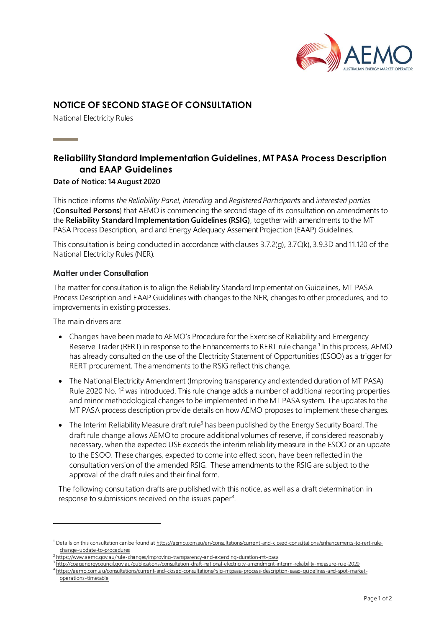

# **NOTICE OF SECOND STAGE OF CONSULTATION**

National Electricity Rules

**Contract Contract** 

# **Reliability Standard Implementation Guidelines, MT PASA Process Description and EAAP Guidelines**

### **Date of Notice: 14 August 2020**

This notice informs *the Reliability Panel, Intending* and *Registered Participants* and *interested parties* (**Consulted Persons**) that AEMO is commencing the second stage of its consultation on amendments to the **Reliability Standard Implementation Guidelines (RSIG)**, together with amendments to the MT PASA Process Description, and and Energy Adequacy Assement Projection (EAAP) Guidelines.

This consultation is being conducted in accordance with clauses 3.7.2(g), 3.7C(k), 3.9.3D and 11.120 of the National Electricity Rules (NER).

### **Matter under Consultation**

The matter for consultation is to align the Reliability Standard Implementation Guidelines*,* MT PASA Process Description and EAAP Guidelines with changes to the NER, changes to other procedures, and to improvements in existing processes.

The main drivers are:

- Changes have been made to AEMO's Procedure for the Exercise of Reliability and Emergency Reserve Trader (RERT) in response to the Enhancements to RERT rule change.<sup>1</sup> In this process, AEMO has already consulted on the use of the Electricity Statement of Opportunities (ESOO) as a trigger for RERT procurement. The amendments to the RSIG reflect this change.
- The National Electricity Amendment (Improving transparency and extended duration of MT PASA) Rule 2020 No. 1<sup>2</sup> was introduced. This rule change adds a number of additional reporting properties and minor methodological changes to be implemented in the MT PASA system. The updates to the MT PASA process description provide details on how AEMO proposes to implement these changes.
- The Interim Reliability Measure draft rule<sup>3</sup> has been published by the Energy Security Board. The draft rule change allows AEMO to procure additional volumes of reserve, if considered reasonably necessary, when the expected USE exceeds the interim reliability measure in the ESOO or an update to the ESOO. These changes, expected to come into effect soon, have been reflected in the consultation version of the amended RSIG. These amendments to the RSIG are subject to the approval of the draft rules and their final form.

The following consultation drafts are published with this notice, as well as a draft determination in response to submissions received on the issues paper<sup>4</sup>.

3 <http://coagenergycouncil.gov.au/publications/consultation-draft-national-electricity-amendment-interim-reliability-measure-rule-2020>

<sup>&</sup>lt;sup>1</sup> Details on this consultation can be found [at https://aemo.com.au/en/consultations/current-and-closed-consultations/enhancements-to-rert-rule](https://aemo.com.au/en/consultations/current-and-closed-consultations/enhancements-to-rert-rule-change-update-to-procedures)[change-update-to-procedures](https://aemo.com.au/en/consultations/current-and-closed-consultations/enhancements-to-rert-rule-change-update-to-procedures)

<sup>2</sup> <https://www.aemc.gov.au/rule-changes/improving-transparency-and-extending-duration-mt-pasa>

<sup>4</sup> [https://aemo.com.au/consultations/current-and-closed-consultations/rsig-mtpasa-process-description-eaap-guidelines-and-spot-market](https://aemo.com.au/consultations/current-and-closed-consultations/rsig-mtpasa-process-description-eaap-guidelines-and-spot-market-operations-timetable)[operations-timetable](https://aemo.com.au/consultations/current-and-closed-consultations/rsig-mtpasa-process-description-eaap-guidelines-and-spot-market-operations-timetable)